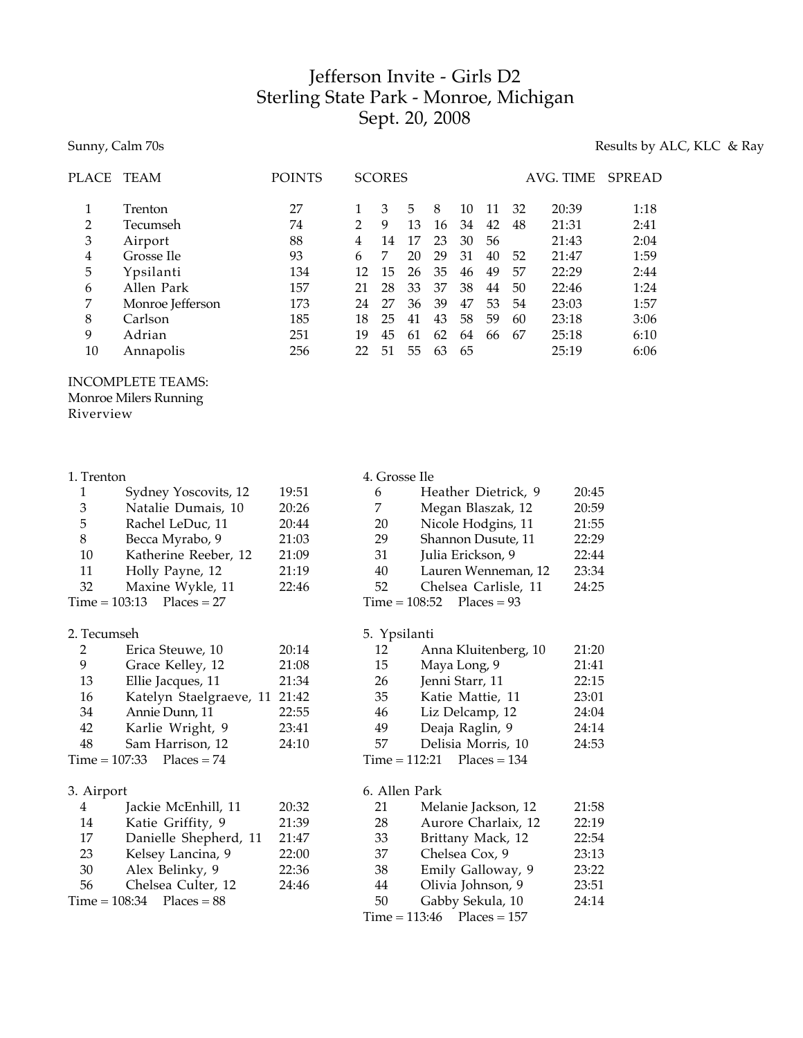# Jefferson Invite - Girls D2 Sterling State Park - Monroe, Michigan Sept. 20, 2008

# Sunny, Calm 70s Results by ALC, KLC & Ray

| PLACE | TEAM             | <b>POINTS</b> |    | <b>SCORES</b> |    |    |    |    |    | AVG. TIME | SPREAD |
|-------|------------------|---------------|----|---------------|----|----|----|----|----|-----------|--------|
| 1     | Trenton          | 27            |    | 3             | 5  | 8  | 10 | 11 | 32 | 20:39     | 1:18   |
| 2     | Tecumseh         | 74            | 2  | 9             | 13 | 16 | 34 | 42 | 48 | 21:31     | 2:41   |
| 3     | Airport          | 88            | 4  | 14            | 17 | 23 | 30 | 56 |    | 21:43     | 2:04   |
| 4     | Grosse Ile       | 93            | 6  | 7             | 20 | 29 | 31 | 40 | 52 | 21:47     | 1:59   |
| 5     | Ypsilanti        | 134           | 12 | 15            | 26 | 35 | 46 | 49 | 57 | 22:29     | 2:44   |
| 6     | Allen Park       | 157           | 21 | 28            | 33 | 37 | 38 | 44 | 50 | 22:46     | 1:24   |
| 7     | Monroe Jefferson | 173           | 24 | 27            | 36 | 39 | 47 | 53 | 54 | 23:03     | 1:57   |
| 8     | Carlson          | 185           | 18 | 25            | 41 | 43 | 58 | 59 | 60 | 23:18     | 3:06   |
| 9     | Adrian           | 251           | 19 | 45            | 61 | 62 | 64 | 66 | 67 | 25:18     | 6:10   |
| 10    | Annapolis        | 256           | 22 | 51            | 55 | 63 | 65 |    |    | 25:19     | 6:06   |

## INCOMPLETE TEAMS:

Monroe Milers Running

Riverview

| 1  | Sydney Yoscovits, 12 | 19:51 |
|----|----------------------|-------|
| 3  | Natalie Dumais, 10   | 20:26 |
| 5  | Rachel LeDuc, 11     | 20:44 |
| 8  | Becca Myrabo, 9      | 21:03 |
| 10 | Katherine Reeber, 12 | 21:09 |
| 11 | Holly Payne, 12      | 21:19 |
| 32 | Maxine Wykle, 11     | 22:46 |
|    |                      |       |

 $Time = 103:13$  Places = 27

### 2. Tecumseh

| $\mathcal{P}$ | Erica Steuwe, 10            | 20:14 |
|---------------|-----------------------------|-------|
| 9             | Grace Kelley, 12            | 21:08 |
| 13            | Ellie Jacques, 11           | 21:34 |
| 16            | Katelyn Staelgraeve, 11     | 21:42 |
| 34            | Annie Dunn, 11              | 22:55 |
| 42            | Karlie Wright, 9            | 23:41 |
| 48            | Sam Harrison, 12            | 24:10 |
|               | $Time = 107:33$ Places = 74 |       |
|               |                             |       |

# 3. Airport

| 4  | Jackie McEnhill, 11           | 20:32 |
|----|-------------------------------|-------|
| 14 | Katie Griffity, 9             | 21:39 |
| 17 | Danielle Shepherd, 11         | 21:47 |
| 23 | Kelsey Lancina, 9             | 22:00 |
| 30 | Alex Belinky, 9               | 22:36 |
| 56 | Chelsea Culter, 12            | 24:46 |
|    | $Time = 108:34$ Places = $88$ |       |

# 4. Grosse Ile

| 6  | Heather Dietrick, 9         | 20:45 |
|----|-----------------------------|-------|
|    | Megan Blaszak, 12           | 20:59 |
| 20 | Nicole Hodgins, 11          | 21:55 |
| 29 | Shannon Dusute, 11          | 22:29 |
| 31 | Julia Erickson, 9           | 22:44 |
| 40 | Lauren Wenneman, 12         | 23:34 |
| 52 | Chelsea Carlisle, 11        | 24:25 |
|    | Time = $108:52$ Places = 93 |       |

# 5. Ypsilanti

| 12 | Anna Kluitenberg, 10         | 21:20 |
|----|------------------------------|-------|
| 15 | Maya Long, 9                 | 21:41 |
| 26 | Jenni Starr, 11              | 22:15 |
| 35 | Katie Mattie, 11             | 23:01 |
| 46 | Liz Delcamp, 12              | 24:04 |
| 49 | Deaja Raglin, 9              | 24:14 |
| 57 | Delisia Morris, 10           | 24:53 |
|    | $Time = 112:21$ Places = 134 |       |

# 6. Allen Park

| 21 | Melanie Jackson, 12          | 21:58 |
|----|------------------------------|-------|
| 28 | Aurore Charlaix, 12          | 22:19 |
| 33 | Brittany Mack, 12            | 22:54 |
| 37 | Chelsea Cox, 9               | 23:13 |
| 38 | Emily Galloway, 9            | 23:22 |
| 44 | Olivia Johnson, 9            | 23:51 |
| 50 | Gabby Sekula, 10             | 24:14 |
|    | $Time = 113:46$ Places = 157 |       |
|    |                              |       |